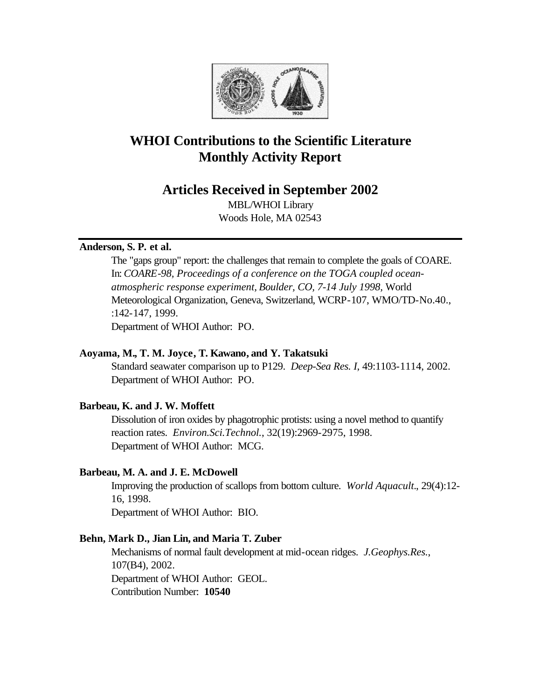

# **WHOI Contributions to the Scientific Literature Monthly Activity Report**

# **Articles Received in September 2002**

MBL/WHOI Library Woods Hole, MA 02543

# **Anderson, S. P. et al.**

The "gaps group" report: the challenges that remain to complete the goals of COARE. In: *COARE-98, Proceedings of a conference on the TOGA coupled oceanatmospheric response experiment, Boulder, CO, 7-14 July 1998,* World Meteorological Organization, Geneva, Switzerland, WCRP-107, WMO/TD-No.40., :142-147, 1999. Department of WHOI Author: PO.

# **Aoyama, M., T. M. Joyce, T. Kawano, and Y. Takatsuki**

Standard seawater comparison up to P129. *Deep-Sea Res. I*, 49:1103-1114, 2002. Department of WHOI Author: PO.

# **Barbeau, K. and J. W. Moffett**

Dissolution of iron oxides by phagotrophic protists: using a novel method to quantify reaction rates. *Environ.Sci.Technol.*, 32(19):2969-2975, 1998. Department of WHOI Author: MCG.

# **Barbeau, M. A. and J. E. McDowell**

Improving the production of scallops from bottom culture. *World Aquacult.*, 29(4):12- 16, 1998. Department of WHOI Author: BIO.

# **Behn, Mark D., Jian Lin, and Maria T. Zuber**

Mechanisms of normal fault development at mid-ocean ridges. *J.Geophys.Res.*, 107(B4), 2002. Department of WHOI Author: GEOL. Contribution Number: **10540**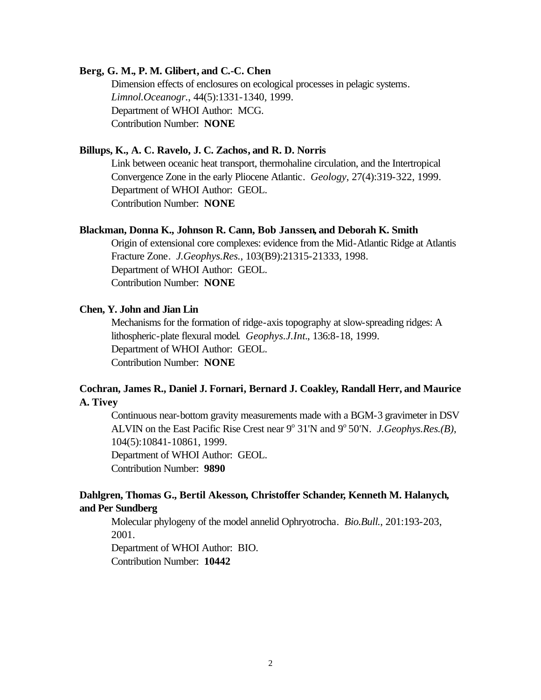### **Berg, G. M., P. M. Glibert, and C.-C. Chen**

Dimension effects of enclosures on ecological processes in pelagic systems. *Limnol.Oceanogr.*, 44(5):1331-1340, 1999. Department of WHOI Author: MCG. Contribution Number: **NONE**

### **Billups, K., A. C. Ravelo, J. C. Zachos, and R. D. Norris**

Link between oceanic heat transport, thermohaline circulation, and the Intertropical Convergence Zone in the early Pliocene Atlantic. *Geology*, 27(4):319-322, 1999. Department of WHOI Author: GEOL. Contribution Number: **NONE**

### **Blackman, Donna K., Johnson R. Cann, Bob Janssen, and Deborah K. Smith**

Origin of extensional core complexes: evidence from the Mid-Atlantic Ridge at Atlantis Fracture Zone. *J.Geophys.Res.*, 103(B9):21315-21333, 1998. Department of WHOI Author: GEOL. Contribution Number: **NONE**

#### **Chen, Y. John and Jian Lin**

Mechanisms for the formation of ridge-axis topography at slow-spreading ridges: A lithospheric-plate flexural model. *Geophys.J.Int.*, 136:8-18, 1999. Department of WHOI Author: GEOL. Contribution Number: **NONE**

# **Cochran, James R., Daniel J. Fornari, Bernard J. Coakley, Randall Herr, and Maurice A. Tivey**

Continuous near-bottom gravity measurements made with a BGM-3 gravimeter in DSV ALVIN on the East Pacific Rise Crest near 9<sup>o</sup> 31'N and 9<sup>o</sup> 50'N. *J.Geophys.Res.(B)*, 104(5):10841-10861, 1999. Department of WHOI Author: GEOL. Contribution Number: **9890**

# **Dahlgren, Thomas G., Bertil Akesson, Christoffer Schander, Kenneth M. Halanych, and Per Sundberg**

Molecular phylogeny of the model annelid Ophryotrocha. *Bio.Bull.*, 201:193-203, 2001.

Department of WHOI Author: BIO. Contribution Number: **10442**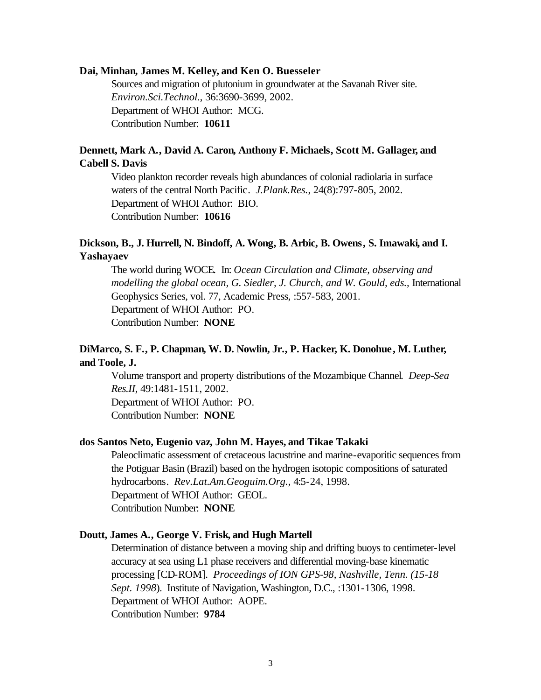#### **Dai, Minhan, James M. Kelley, and Ken O. Buesseler**

Sources and migration of plutonium in groundwater at the Savanah River site. *Environ.Sci.Technol.*, 36:3690-3699, 2002. Department of WHOI Author: MCG. Contribution Number: **10611**

# **Dennett, Mark A., David A. Caron, Anthony F. Michaels, Scott M. Gallager, and Cabell S. Davis**

Video plankton recorder reveals high abundances of colonial radiolaria in surface waters of the central North Pacific. *J.Plank.Res.*, 24(8):797-805, 2002. Department of WHOI Author: BIO. Contribution Number: **10616**

# **Dickson, B., J. Hurrell, N. Bindoff, A. Wong, B. Arbic, B. Owens, S. Imawaki, and I. Yashayaev**

The world during WOCE. In: *Ocean Circulation and Climate, observing and modelling the global ocean, G. Siedler, J. Church, and W. Gould, eds., International* Geophysics Series, vol. 77, Academic Press, :557-583, 2001. Department of WHOI Author: PO. Contribution Number: **NONE**

# **DiMarco, S. F., P. Chapman, W. D. Nowlin, Jr., P. Hacker, K. Donohue, M. Luther, and Toole, J.**

Volume transport and property distributions of the Mozambique Channel. *Deep-Sea Res.II*, 49:1481-1511, 2002. Department of WHOI Author: PO.

Contribution Number: **NONE**

#### **dos Santos Neto, Eugenio vaz, John M. Hayes, and Tikae Takaki**

Paleoclimatic assessment of cretaceous lacustrine and marine-evaporitic sequences from the Potiguar Basin (Brazil) based on the hydrogen isotopic compositions of saturated hydrocarbons. *Rev.Lat.Am.Geoguim.Org.*, 4:5-24, 1998. Department of WHOI Author: GEOL. Contribution Number: **NONE**

### **Doutt, James A., George V. Frisk, and Hugh Martell**

Determination of distance between a moving ship and drifting buoys to centimeter-level accuracy at sea using L1 phase receivers and differential moving-base kinematic processing [CD-ROM]. *Proceedings of ION GPS-98, Nashville, Tenn. (15-18 Sept. 1998*). Institute of Navigation, Washington, D.C., :1301-1306, 1998. Department of WHOI Author: AOPE. Contribution Number: **9784**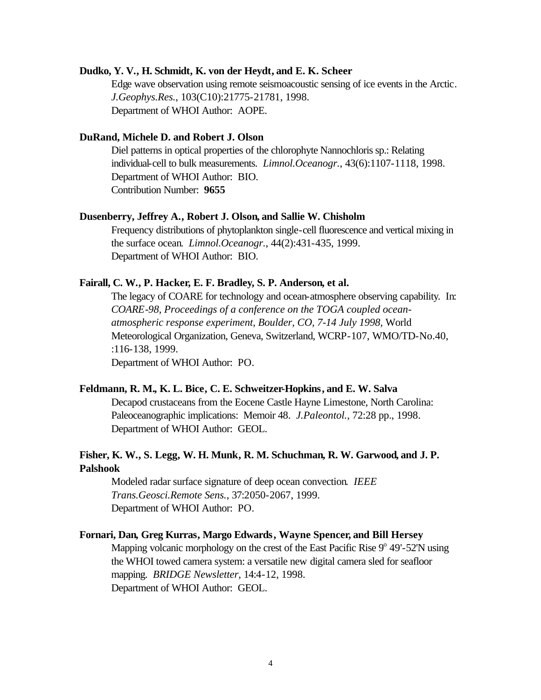#### **Dudko, Y. V., H. Schmidt, K. von der Heydt, and E. K. Scheer**

Edge wave observation using remote seismoacoustic sensing of ice events in the Arctic. *J.Geophys.Res.*, 103(C10):21775-21781, 1998. Department of WHOI Author: AOPE.

### **DuRand, Michele D. and Robert J. Olson**

Diel patterns in optical properties of the chlorophyte Nannochloris sp.: Relating individual-cell to bulk measurements. *Limnol.Oceanogr.*, 43(6):1107-1118, 1998. Department of WHOI Author: BIO. Contribution Number: **9655**

#### **Dusenberry, Jeffrey A., Robert J. Olson, and Sallie W. Chisholm**

Frequency distributions of phytoplankton single-cell fluorescence and vertical mixing in the surface ocean. *Limnol.Oceanogr.*, 44(2):431-435, 1999. Department of WHOI Author: BIO.

### **Fairall, C. W., P. Hacker, E. F. Bradley, S. P. Anderson, et al.**

The legacy of COARE for technology and ocean-atmosphere observing capability. In: *COARE-98, Proceedings of a conference on the TOGA coupled oceanatmospheric response experiment, Boulder, CO, 7-14 July 1998,* World Meteorological Organization, Geneva, Switzerland, WCRP-107, WMO/TD-No.40, :116-138, 1999. Department of WHOI Author: PO.

#### **Feldmann, R. M., K. L. Bice, C. E. Schweitzer-Hopkins, and E. W. Salva**

Decapod crustaceans from the Eocene Castle Hayne Limestone, North Carolina: Paleoceanographic implications: Memoir 48. *J.Paleontol.*, 72:28 pp., 1998. Department of WHOI Author: GEOL.

# **Fisher, K. W., S. Legg, W. H. Munk, R. M. Schuchman, R. W. Garwood, and J. P. Palshook**

Modeled radar surface signature of deep ocean convection. *IEEE Trans.Geosci.Remote Sens.*, 37:2050-2067, 1999. Department of WHOI Author: PO.

#### **Fornari, Dan, Greg Kurras, Margo Edwards, Wayne Spencer, and Bill Hersey**

Mapping volcanic morphology on the crest of the East Pacific Rise 9° 49'-52'N using the WHOI towed camera system: a versatile new digital camera sled for seafloor mapping. *BRIDGE Newsletter*, 14:4-12, 1998. Department of WHOI Author: GEOL.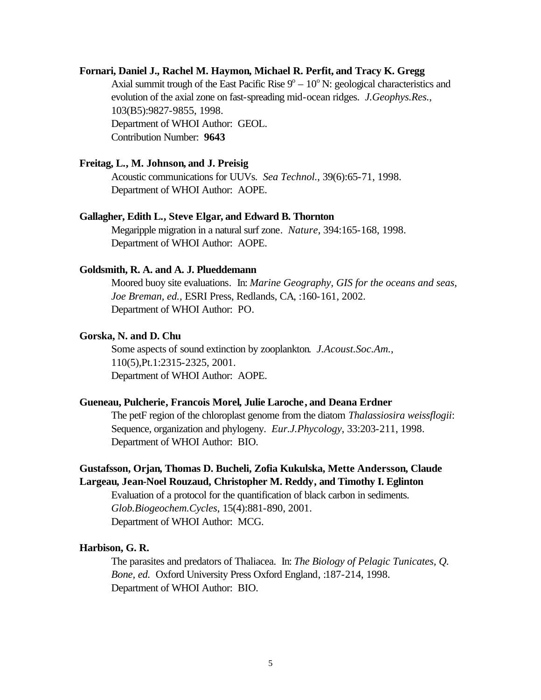### **Fornari, Daniel J., Rachel M. Haymon, Michael R. Perfit, and Tracy K. Gregg**

Axial summit trough of the East Pacific Rise  $9^{\circ} - 10^{\circ}$  N: geological characteristics and evolution of the axial zone on fast-spreading mid-ocean ridges. *J.Geophys.Res.*, 103(B5):9827-9855, 1998. Department of WHOI Author: GEOL. Contribution Number: **9643**

#### **Freitag, L., M. Johnson, and J. Preisig**

Acoustic communications for UUVs. *Sea Technol.*, 39(6):65-71, 1998. Department of WHOI Author: AOPE.

#### **Gallagher, Edith L., Steve Elgar, and Edward B. Thornton**

Megaripple migration in a natural surf zone. *Nature*, 394:165-168, 1998. Department of WHOI Author: AOPE.

### **Goldsmith, R. A. and A. J. Plueddemann**

Moored buoy site evaluations*.* In: *Marine Geography, GIS for the oceans and seas, Joe Breman, ed.,* ESRI Press, Redlands, CA, :160-161, 2002. Department of WHOI Author: PO.

### **Gorska, N. and D. Chu**

Some aspects of sound extinction by zooplankton. *J.Acoust.Soc.Am.*, 110(5),Pt.1:2315-2325, 2001. Department of WHOI Author: AOPE.

#### **Gueneau, Pulcherie, Francois Morel, Julie Laroche, and Deana Erdner**

The petF region of the chloroplast genome from the diatom *Thalassiosira weissflogii*: Sequence, organization and phylogeny. *Eur.J.Phycology*, 33:203-211, 1998. Department of WHOI Author: BIO.

# **Gustafsson, Orjan, Thomas D. Bucheli, Zofia Kukulska, Mette Andersson, Claude Largeau, Jean-Noel Rouzaud, Christopher M. Reddy, and Timothy I. Eglinton**

Evaluation of a protocol for the quantification of black carbon in sediments. *Glob.Biogeochem.Cycles*, 15(4):881-890, 2001. Department of WHOI Author: MCG.

#### **Harbison, G. R.**

The parasites and predators of Thaliacea. In: *The Biology of Pelagic Tunicates, Q. Bone, ed.* Oxford University Press Oxford England, :187-214, 1998. Department of WHOI Author: BIO.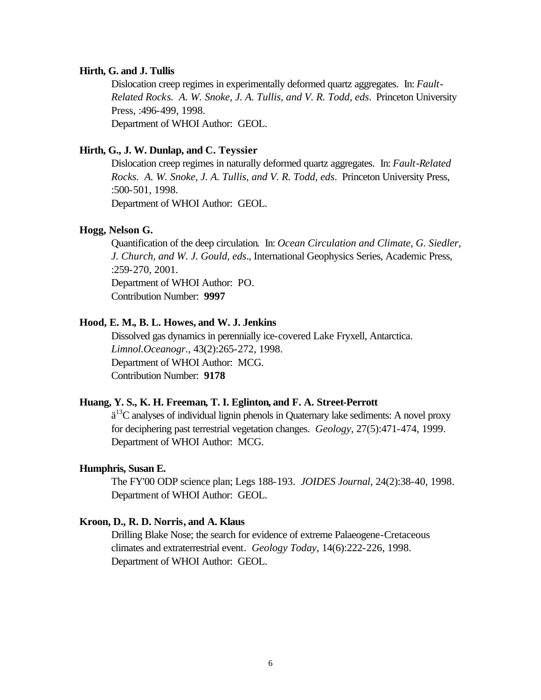#### **Hirth, G. and J. Tullis**

Dislocation creep regimes in experimentally deformed quartz aggregates. In: *Fault-Related Rocks. A. W. Snoke, J. A. Tullis, and V. R. Todd, eds*. Princeton University Press, :496-499, 1998. Department of WHOI Author: GEOL.

### **Hirth, G., J. W. Dunlap, and C. Teyssier**

Dislocation creep regimes in naturally deformed quartz aggregates. In: *Fault-Related Rocks. A. W. Snoke, J. A. Tullis, and V. R. Todd, eds*. Princeton University Press, :500-501, 1998.

Department of WHOI Author: GEOL.

### **Hogg, Nelson G.**

Quantification of the deep circulation. In: *Ocean Circulation and Climate, G. Siedler, J. Church, and W. J. Gould, eds*., International Geophysics Series, Academic Press, :259-270, 2001. Department of WHOI Author: PO.

Contribution Number: **9997**

### **Hood, E. M., B. L. Howes, and W. J. Jenkins**

Dissolved gas dynamics in perennially ice-covered Lake Fryxell, Antarctica. *Limnol.Oceanogr.*, 43(2):265-272, 1998. Department of WHOI Author: MCG. Contribution Number: **9178**

### **Huang, Y. S., K. H. Freeman, T. I. Eglinton, and F. A. Street-Perrott**

 $\ddot{a}^{13}$ C analyses of individual lignin phenols in Quaternary lake sediments: A novel proxy for deciphering past terrestrial vegetation changes. *Geology*, 27(5):471-474, 1999. Department of WHOI Author: MCG.

### **Humphris, Susan E.**

The FY'00 ODP science plan; Legs 188-193. *JOIDES Journal*, 24(2):38-40, 1998. Department of WHOI Author: GEOL.

### **Kroon, D., R. D. Norris, and A. Klaus**

Drilling Blake Nose; the search for evidence of extreme Palaeogene-Cretaceous climates and extraterrestrial event. *Geology Today*, 14(6):222-226, 1998. Department of WHOI Author: GEOL.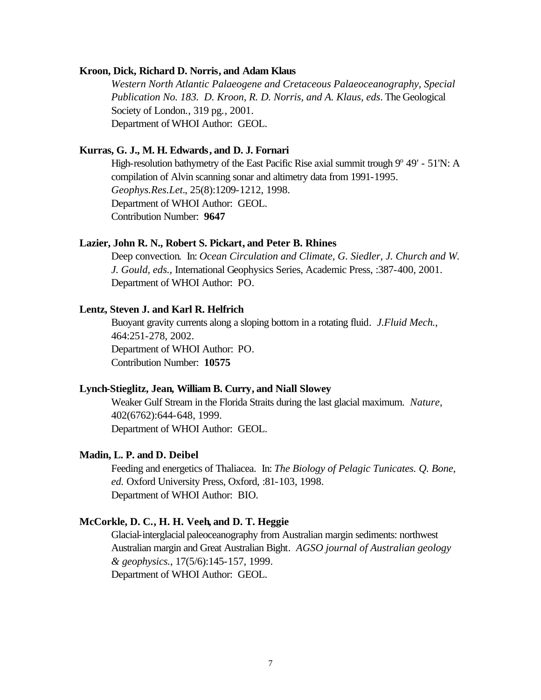#### **Kroon, Dick, Richard D. Norris, and Adam Klaus**

*Western North Atlantic Palaeogene and Cretaceous Palaeoceanography, Special Publication No. 183. D. Kroon, R. D. Norris, and A. Klaus, eds*. The Geological Society of London., 319 pg., 2001. Department of WHOI Author: GEOL.

### **Kurras, G. J., M. H. Edwards, and D. J. Fornari**

High-resolution bathymetry of the East Pacific Rise axial summit trough  $9^{\circ}$  49' - 51'N: A compilation of Alvin scanning sonar and altimetry data from 1991-1995. *Geophys.Res.Let.*, 25(8):1209-1212, 1998. Department of WHOI Author: GEOL. Contribution Number: **9647**

### **Lazier, John R. N., Robert S. Pickart, and Peter B. Rhines**

Deep convection. In: *Ocean Circulation and Climate, G. Siedler, J. Church and W. J. Gould, eds.,* International Geophysics Series, Academic Press, :387-400, 2001. Department of WHOI Author: PO.

### **Lentz, Steven J. and Karl R. Helfrich**

Buoyant gravity currents along a sloping bottom in a rotating fluid. *J.Fluid Mech.*, 464:251-278, 2002. Department of WHOI Author: PO. Contribution Number: **10575**

#### **Lynch-Stieglitz, Jean, William B. Curry, and Niall Slowey**

Weaker Gulf Stream in the Florida Straits during the last glacial maximum. *Nature*, 402(6762):644-648, 1999. Department of WHOI Author: GEOL.

#### **Madin, L. P. and D. Deibel**

Feeding and energetics of Thaliacea. In: *The Biology of Pelagic Tunicates. Q. Bone, ed.* Oxford University Press, Oxford, :81-103, 1998. Department of WHOI Author: BIO.

### **McCorkle, D. C., H. H. Veeh, and D. T. Heggie**

Glacial-interglacial paleoceanography from Australian margin sediments: northwest Australian margin and Great Australian Bight. *AGSO journal of Australian geology & geophysics.*, 17(5/6):145-157, 1999. Department of WHOI Author: GEOL.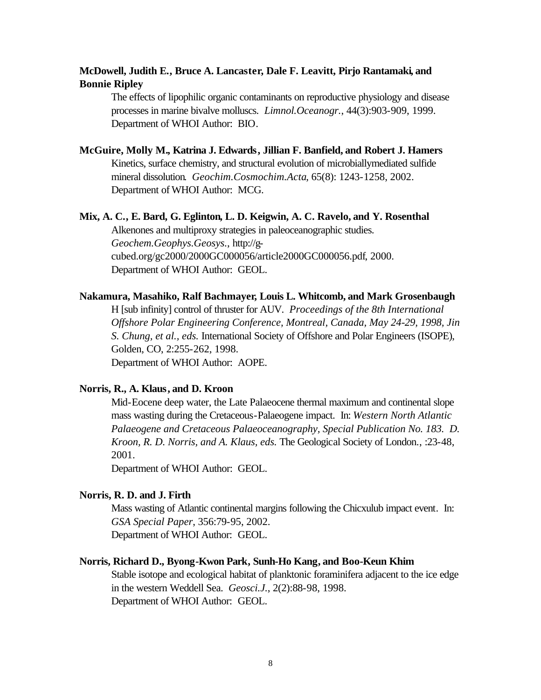# **McDowell, Judith E., Bruce A. Lancaster, Dale F. Leavitt, Pirjo Rantamaki, and Bonnie Ripley**

The effects of lipophilic organic contaminants on reproductive physiology and disease processes in marine bivalve molluscs. *Limnol.Oceanogr.*, 44(3):903-909, 1999. Department of WHOI Author: BIO.

### **McGuire, Molly M., Katrina J. Edwards, Jillian F. Banfield, and Robert J. Hamers**

Kinetics, surface chemistry, and structural evolution of microbiallymediated sulfide mineral dissolution. *Geochim.Cosmochim.Acta*, 65(8): 1243-1258, 2002. Department of WHOI Author: MCG.

#### **Mix, A. C., E. Bard, G. Eglinton, L. D. Keigwin, A. C. Ravelo, and Y. Rosenthal**

Alkenones and multiproxy strategies in paleoceanographic studies. *Geochem.Geophys.Geosys.*, http://gcubed.org/gc2000/2000GC000056/article2000GC000056.pdf, 2000. Department of WHOI Author: GEOL.

### **Nakamura, Masahiko, Ralf Bachmayer, Louis L. Whitcomb, and Mark Grosenbaugh**

H [sub infinity] control of thruster for AUV. *Proceedings of the 8th International Offshore Polar Engineering Conference, Montreal, Canada, May 24-29, 1998, Jin S. Chung, et al., eds.* International Society of Offshore and Polar Engineers (ISOPE), Golden, CO, 2:255-262, 1998. Department of WHOI Author: AOPE.

### **Norris, R., A. Klaus, and D. Kroon**

Mid-Eocene deep water, the Late Palaeocene thermal maximum and continental slope mass wasting during the Cretaceous-Palaeogene impact. In: *Western North Atlantic Palaeogene and Cretaceous Palaeoceanography, Special Publication No. 183. D. Kroon, R. D. Norris, and A. Klaus, eds.* The Geological Society of London., :23-48, 2001.

Department of WHOI Author: GEOL.

### **Norris, R. D. and J. Firth**

Mass wasting of Atlantic continental margins following the Chicxulub impact event. In: *GSA Special Paper*, 356:79-95, 2002. Department of WHOI Author: GEOL.

### **Norris, Richard D., Byong-Kwon Park, Sunh-Ho Kang, and Boo-Keun Khim**

Stable isotope and ecological habitat of planktonic foraminifera adjacent to the ice edge in the western Weddell Sea. *Geosci.J.*, 2(2):88-98, 1998. Department of WHOI Author: GEOL.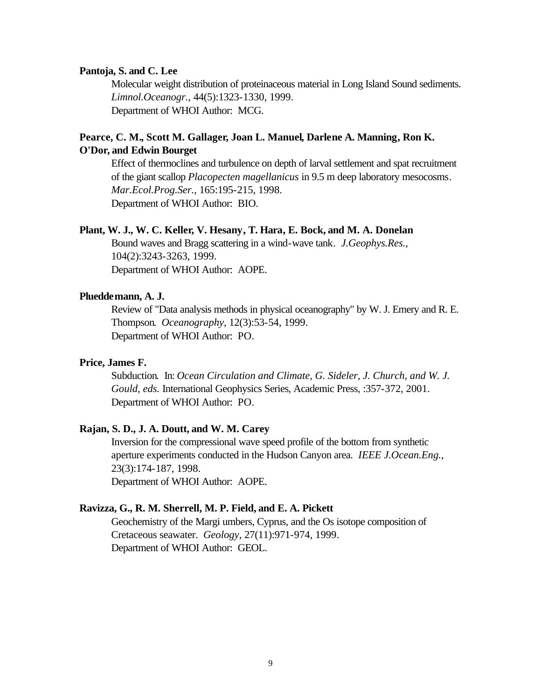### **Pantoja, S. and C. Lee**

Molecular weight distribution of proteinaceous material in Long Island Sound sediments. *Limnol.Oceanogr.*, 44(5):1323-1330, 1999. Department of WHOI Author: MCG.

# **Pearce, C. M., Scott M. Gallager, Joan L. Manuel, Darlene A. Manning, Ron K. O'Dor, and Edwin Bourget**

Effect of thermoclines and turbulence on depth of larval settlement and spat recruitment of the giant scallop *Placopecten magellanicus* in 9.5 m deep laboratory mesocosms. *Mar.Ecol.Prog.Ser.*, 165:195-215, 1998. Department of WHOI Author: BIO.

### **Plant, W. J., W. C. Keller, V. Hesany, T. Hara, E. Bock, and M. A. Donelan**

Bound waves and Bragg scattering in a wind-wave tank. *J.Geophys.Res.*, 104(2):3243-3263, 1999. Department of WHOI Author: AOPE.

### **Plueddemann, A. J.**

Review of "Data analysis methods in physical oceanography" by W. J. Emery and R. E. Thompson. *Oceanography*, 12(3):53-54, 1999. Department of WHOI Author: PO.

### **Price, James F.**

Subduction. In: *Ocean Circulation and Climate, G. Sideler, J. Church, and W. J. Gould, eds.* International Geophysics Series, Academic Press, :357-372, 2001. Department of WHOI Author: PO.

### **Rajan, S. D., J. A. Doutt, and W. M. Carey**

Inversion for the compressional wave speed profile of the bottom from synthetic aperture experiments conducted in the Hudson Canyon area. *IEEE J.Ocean.Eng.*, 23(3):174-187, 1998. Department of WHOI Author: AOPE.

#### **Ravizza, G., R. M. Sherrell, M. P. Field, and E. A. Pickett**

Geochemistry of the Margi umbers, Cyprus, and the Os isotope composition of Cretaceous seawater. *Geology*, 27(11):971-974, 1999. Department of WHOI Author: GEOL.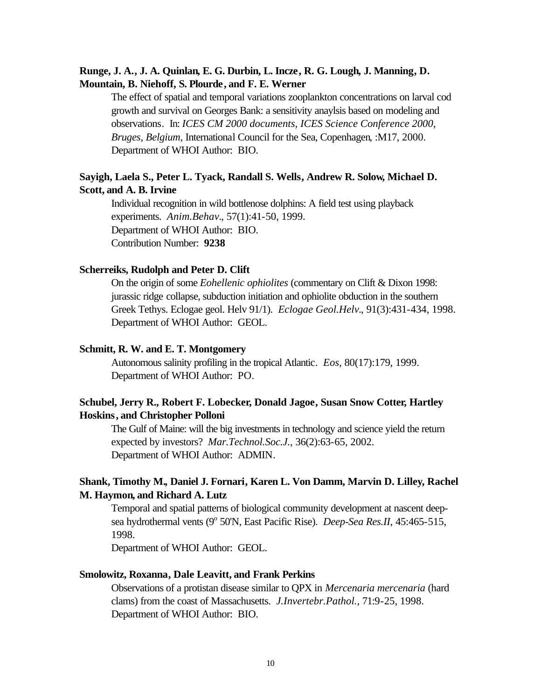# **Runge, J. A., J. A. Quinlan, E. G. Durbin, L. Incze, R. G. Lough, J. Manning, D. Mountain, B. Niehoff, S. Plourde, and F. E. Werner**

The effect of spatial and temporal variations zooplankton concentrations on larval cod growth and survival on Georges Bank: a sensitivity anaylsis based on modeling and observations. In: *ICES CM 2000 documents, ICES Science Conference 2000, Bruges, Belgium,* International Council for the Sea, Copenhagen, :M17, 2000. Department of WHOI Author: BIO.

# **Sayigh, Laela S., Peter L. Tyack, Randall S. Wells, Andrew R. Solow, Michael D. Scott, and A. B. Irvine**

Individual recognition in wild bottlenose dolphins: A field test using playback experiments. *Anim.Behav.*, 57(1):41-50, 1999. Department of WHOI Author: BIO. Contribution Number: **9238**

### **Scherreiks, Rudolph and Peter D. Clift**

On the origin of some *Eohellenic ophiolites* (commentary on Clift & Dixon 1998: jurassic ridge collapse, subduction initiation and ophiolite obduction in the southern Greek Tethys. Eclogae geol. Helv 91/1). *Eclogae Geol.Helv.*, 91(3):431-434, 1998. Department of WHOI Author: GEOL.

# **Schmitt, R. W. and E. T. Montgomery**

Autonomous salinity profiling in the tropical Atlantic. *Eos*, 80(17):179, 1999. Department of WHOI Author: PO.

# **Schubel, Jerry R., Robert F. Lobecker, Donald Jagoe, Susan Snow Cotter, Hartley Hoskins, and Christopher Polloni**

The Gulf of Maine: will the big investments in technology and science yield the return expected by investors? *Mar.Technol.Soc.J.*, 36(2):63-65, 2002. Department of WHOI Author: ADMIN.

# **Shank, Timothy M., Daniel J. Fornari, Karen L. Von Damm, Marvin D. Lilley, Rachel M. Haymon, and Richard A. Lutz**

Temporal and spatial patterns of biological community development at nascent deepsea hydrothermal vents (9<sup>°</sup> 50'N, East Pacific Rise). *Deep-Sea Res.II*, 45:465-515, 1998.

Department of WHOI Author: GEOL.

### **Smolowitz, Roxanna, Dale Leavitt, and Frank Perkins**

Observations of a protistan disease similar to QPX in *Mercenaria mercenaria* (hard clams) from the coast of Massachusetts. *J.Invertebr.Pathol.*, 71:9-25, 1998. Department of WHOI Author: BIO.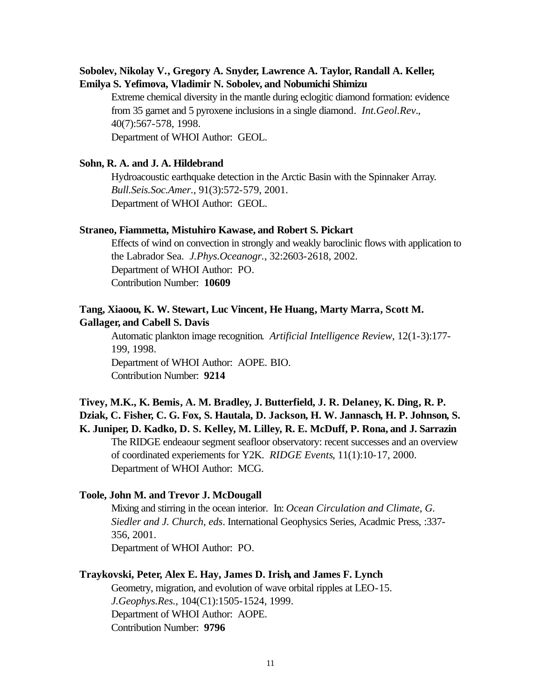# **Sobolev, Nikolay V., Gregory A. Snyder, Lawrence A. Taylor, Randall A. Keller, Emilya S. Yefimova, Vladimir N. Sobolev, and Nobumichi Shimizu**

Extreme chemical diversity in the mantle during eclogitic diamond formation: evidence from 35 garnet and 5 pyroxene inclusions in a single diamond. *Int.Geol.Rev.*, 40(7):567-578, 1998. Department of WHOI Author: GEOL.

### **Sohn, R. A. and J. A. Hildebrand**

Hydroacoustic earthquake detection in the Arctic Basin with the Spinnaker Array. *Bull.Seis.Soc.Amer.*, 91(3):572-579, 2001. Department of WHOI Author: GEOL.

### **Straneo, Fiammetta, Mistuhiro Kawase, and Robert S. Pickart**

Effects of wind on convection in strongly and weakly baroclinic flows with application to the Labrador Sea. *J.Phys.Oceanogr.*, 32:2603-2618, 2002. Department of WHOI Author: PO. Contribution Number: **10609**

# **Tang, Xiaoou, K. W. Stewart, Luc Vincent, He Huang, Marty Marra, Scott M. Gallager, and Cabell S. Davis**

Automatic plankton image recognition. *Artificial Intelligence Review*, 12(1-3):177- 199, 1998. Department of WHOI Author: AOPE. BIO. Contribution Number: **9214**

**Tivey, M.K., K. Bemis, A. M. Bradley, J. Butterfield, J. R. Delaney, K. Ding, R. P. Dziak, C. Fisher, C. G. Fox, S. Hautala, D. Jackson, H. W. Jannasch, H. P. Johnson, S. K. Juniper, D. Kadko, D. S. Kelley, M. Lilley, R. E. McDuff, P. Rona, and J. Sarrazin** The RIDGE endeaour segment seafloor observatory: recent successes and an overview of coordinated experiements for Y2K. *RIDGE Events*, 11(1):10-17, 2000. Department of WHOI Author: MCG.

### **Toole, John M. and Trevor J. McDougall**

Mixing and stirring in the ocean interior. In: *Ocean Circulation and Climate, G. Siedler and J. Church, eds*. International Geophysics Series, Acadmic Press, :337- 356, 2001. Department of WHOI Author: PO.

### **Traykovski, Peter, Alex E. Hay, James D. Irish, and James F. Lynch**

Geometry, migration, and evolution of wave orbital ripples at LEO-15. *J.Geophys.Res.*, 104(C1):1505-1524, 1999. Department of WHOI Author: AOPE. Contribution Number: **9796**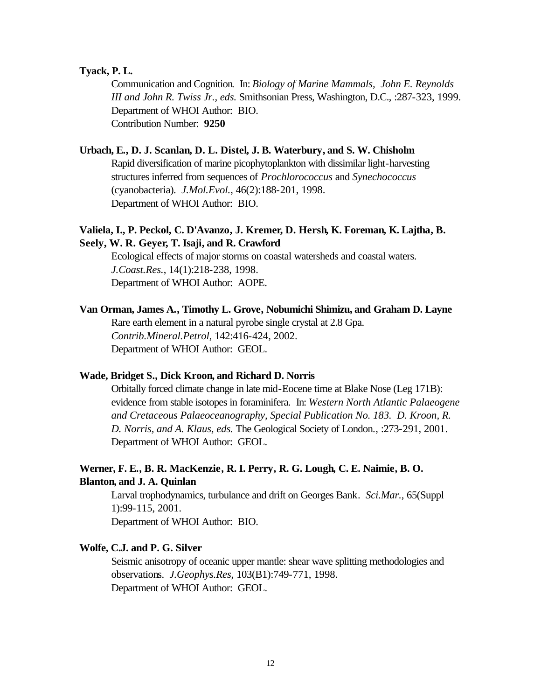### **Tyack, P. L.**

Communication and Cognition. In: *Biology of Marine Mammals, John E. Reynolds III and John R. Twiss Jr., eds.* Smithsonian Press, Washington, D.C., :287-323, 1999. Department of WHOI Author: BIO. Contribution Number: **9250**

### **Urbach, E., D. J. Scanlan, D. L. Distel, J. B. Waterbury, and S. W. Chisholm**

Rapid diversification of marine picophytoplankton with dissimilar light-harvesting structures inferred from sequences of *Prochlorococcus* and *Synechococcus* (cyanobacteria). *J.Mol.Evol.*, 46(2):188-201, 1998. Department of WHOI Author: BIO.

# **Valiela, I., P. Peckol, C. D'Avanzo, J. Kremer, D. Hersh, K. Foreman, K. Lajtha, B. Seely, W. R. Geyer, T. Isaji, and R. Crawford**

Ecological effects of major storms on coastal watersheds and coastal waters. *J.Coast.Res.*, 14(1):218-238, 1998. Department of WHOI Author: AOPE.

**Van Orman, James A., Timothy L. Grove, Nobumichi Shimizu, and Graham D. Layne**

Rare earth element in a natural pyrobe single crystal at 2.8 Gpa. *Contrib.Mineral.Petrol*, 142:416-424, 2002. Department of WHOI Author: GEOL.

#### **Wade, Bridget S., Dick Kroon, and Richard D. Norris**

Orbitally forced climate change in late mid-Eocene time at Blake Nose (Leg 171B): evidence from stable isotopes in foraminifera. In: *Western North Atlantic Palaeogene and Cretaceous Palaeoceanography, Special Publication No. 183. D. Kroon, R. D. Norris, and A. Klaus, eds.* The Geological Society of London., :273-291, 2001. Department of WHOI Author: GEOL.

# **Werner, F. E., B. R. MacKenzie, R. I. Perry, R. G. Lough, C. E. Naimie, B. O. Blanton, and J. A. Quinlan**

Larval trophodynamics, turbulance and drift on Georges Bank. *Sci.Mar.*, 65(Suppl 1):99-115, 2001.

Department of WHOI Author: BIO.

#### **Wolfe, C.J. and P. G. Silver**

Seismic anisotropy of oceanic upper mantle: shear wave splitting methodologies and observations. *J.Geophys.Res*, 103(B1):749-771, 1998. Department of WHOI Author: GEOL.